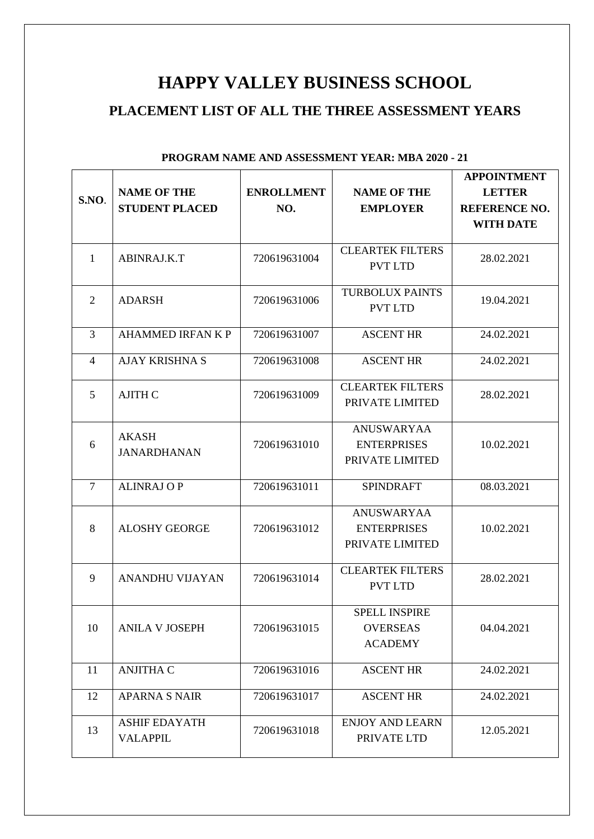# **HAPPY VALLEY BUSINESS SCHOOL**

## **PLACEMENT LIST OF ALL THE THREE ASSESSMENT YEARS**

|                |                          |                   |                         | <b>APPOINTMENT</b>   |
|----------------|--------------------------|-------------------|-------------------------|----------------------|
|                | <b>NAME OF THE</b>       | <b>ENROLLMENT</b> | <b>NAME OF THE</b>      | <b>LETTER</b>        |
| S.NO.          | <b>STUDENT PLACED</b>    | NO.               | <b>EMPLOYER</b>         | <b>REFERENCE NO.</b> |
|                |                          |                   |                         | <b>WITH DATE</b>     |
|                |                          |                   |                         |                      |
| $\mathbf{1}$   | ABINRAJ.K.T              | 720619631004      | <b>CLEARTEK FILTERS</b> | 28.02.2021           |
|                |                          |                   | <b>PVT LTD</b>          |                      |
|                |                          |                   |                         |                      |
| $\overline{2}$ | <b>ADARSH</b>            | 720619631006      | <b>TURBOLUX PAINTS</b>  | 19.04.2021           |
|                |                          |                   | <b>PVT LTD</b>          |                      |
| 3              | <b>AHAMMED IRFAN K P</b> | 720619631007      | <b>ASCENT HR</b>        | 24.02.2021           |
|                |                          |                   |                         |                      |
| $\overline{4}$ | <b>AJAY KRISHNA S</b>    | 720619631008      | <b>ASCENT HR</b>        | 24.02.2021           |
|                |                          |                   |                         |                      |
| 5              | <b>AJITH C</b>           | 720619631009      | <b>CLEARTEK FILTERS</b> | 28.02.2021           |
|                |                          |                   | PRIVATE LIMITED         |                      |
|                |                          |                   |                         |                      |
|                | <b>AKASH</b>             |                   | <b>ANUSWARYAA</b>       |                      |
| 6              | <b>JANARDHANAN</b>       | 720619631010      | <b>ENTERPRISES</b>      | 10.02.2021           |
|                |                          |                   | PRIVATE LIMITED         |                      |
| $\overline{7}$ | <b>ALINRAJ OP</b>        | 720619631011      | <b>SPINDRAFT</b>        | 08.03.2021           |
|                |                          |                   |                         |                      |
|                |                          |                   | <b>ANUSWARYAA</b>       |                      |
| 8              | <b>ALOSHY GEORGE</b>     | 720619631012      | <b>ENTERPRISES</b>      | 10.02.2021           |
|                |                          |                   | PRIVATE LIMITED         |                      |
|                |                          |                   |                         |                      |
| 9              | <b>ANANDHU VIJAYAN</b>   | 720619631014      | <b>CLEARTEK FILTERS</b> | 28.02.2021           |
|                |                          |                   | <b>PVT LTD</b>          |                      |
|                |                          |                   |                         |                      |
|                |                          |                   | <b>SPELL INSPIRE</b>    |                      |
| 10             | <b>ANILA V JOSEPH</b>    | 720619631015      | <b>OVERSEAS</b>         | 04.04.2021           |
|                |                          |                   | <b>ACADEMY</b>          |                      |
| 11             | <b>ANJITHA C</b>         | 720619631016      | <b>ASCENT HR</b>        | 24.02.2021           |
|                |                          |                   |                         |                      |
| 12             | <b>APARNA S NAIR</b>     | 720619631017      | <b>ASCENT HR</b>        | 24.02.2021           |
|                |                          |                   |                         |                      |
| 13             | <b>ASHIF EDAYATH</b>     | 720619631018      | <b>ENJOY AND LEARN</b>  | 12.05.2021           |
|                | <b>VALAPPIL</b>          |                   | PRIVATE LTD             |                      |
|                |                          |                   |                         |                      |

#### **PROGRAM NAME AND ASSESSMENT YEAR: MBA 2020 - 21**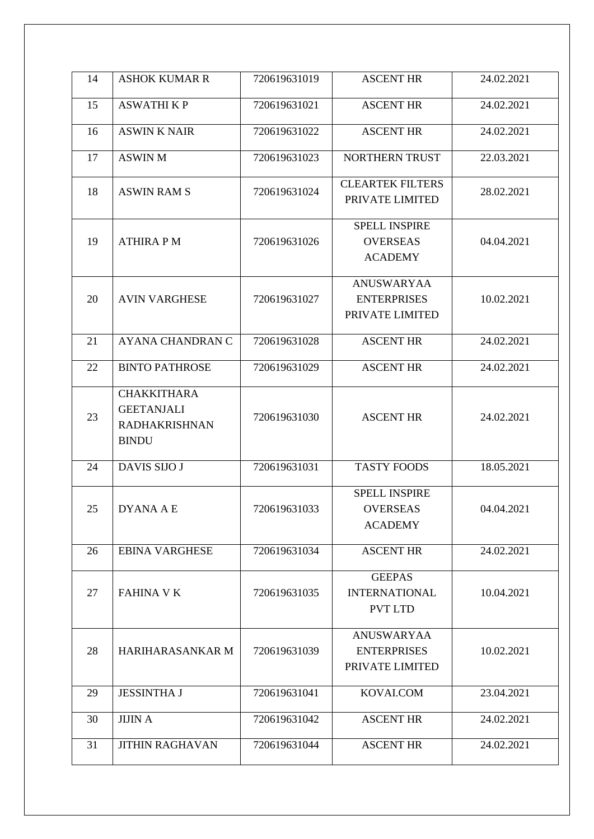| 14 | <b>ASHOK KUMAR R</b>                                                            | 720619631019 | <b>ASCENT HR</b>                                           | 24.02.2021 |
|----|---------------------------------------------------------------------------------|--------------|------------------------------------------------------------|------------|
| 15 | <b>ASWATHIKP</b>                                                                | 720619631021 | <b>ASCENT HR</b>                                           | 24.02.2021 |
| 16 | <b>ASWIN K NAIR</b>                                                             | 720619631022 | <b>ASCENT HR</b>                                           | 24.02.2021 |
| 17 | <b>ASWIN M</b>                                                                  | 720619631023 | NORTHERN TRUST                                             | 22.03.2021 |
| 18 | <b>ASWIN RAM S</b>                                                              | 720619631024 | <b>CLEARTEK FILTERS</b><br>PRIVATE LIMITED                 | 28.02.2021 |
| 19 | <b>ATHIRA PM</b>                                                                | 720619631026 | <b>SPELL INSPIRE</b><br><b>OVERSEAS</b><br><b>ACADEMY</b>  | 04.04.2021 |
| 20 | <b>AVIN VARGHESE</b>                                                            | 720619631027 | <b>ANUSWARYAA</b><br><b>ENTERPRISES</b><br>PRIVATE LIMITED | 10.02.2021 |
| 21 | <b>AYANA CHANDRAN C</b>                                                         | 720619631028 | <b>ASCENT HR</b>                                           | 24.02.2021 |
| 22 | <b>BINTO PATHROSE</b>                                                           | 720619631029 | <b>ASCENT HR</b>                                           | 24.02.2021 |
| 23 | <b>CHAKKITHARA</b><br><b>GEETANJALI</b><br><b>RADHAKRISHNAN</b><br><b>BINDU</b> | 720619631030 | <b>ASCENT HR</b>                                           | 24.02.2021 |
| 24 | <b>DAVIS SIJO J</b>                                                             | 720619631031 | <b>TASTY FOODS</b>                                         | 18.05.2021 |
| 25 | <b>DYANA A E</b>                                                                | 720619631033 | <b>SPELL INSPIRE</b><br><b>OVERSEAS</b><br><b>ACADEMY</b>  | 04.04.2021 |
| 26 | <b>EBINA VARGHESE</b>                                                           | 720619631034 | <b>ASCENT HR</b>                                           | 24.02.2021 |
| 27 | <b>FAHINA V K</b>                                                               | 720619631035 | <b>GEEPAS</b><br><b>INTERNATIONAL</b><br><b>PVT LTD</b>    | 10.04.2021 |
| 28 | HARIHARASANKAR M                                                                | 720619631039 | <b>ANUSWARYAA</b><br><b>ENTERPRISES</b><br>PRIVATE LIMITED | 10.02.2021 |
| 29 | <b>JESSINTHA J</b>                                                              | 720619631041 | KOVAI.COM                                                  | 23.04.2021 |
| 30 | <b>JIJIN A</b>                                                                  | 720619631042 | <b>ASCENT HR</b>                                           | 24.02.2021 |
| 31 | <b>JITHIN RAGHAVAN</b>                                                          | 720619631044 | <b>ASCENT HR</b>                                           | 24.02.2021 |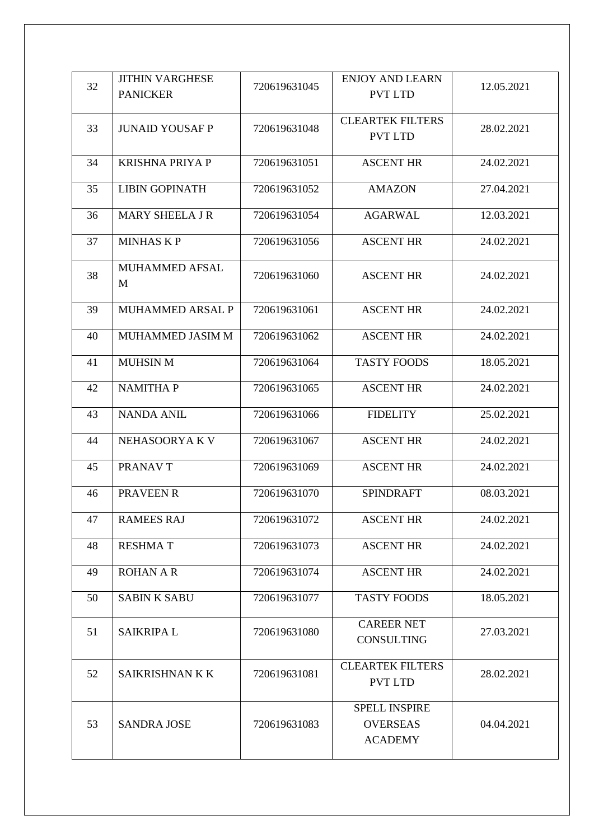|    | <b>JITHIN VARGHESE</b> |              | <b>ENJOY AND LEARN</b>  |            |
|----|------------------------|--------------|-------------------------|------------|
| 32 |                        | 720619631045 | <b>PVT LTD</b>          | 12.05.2021 |
|    | <b>PANICKER</b>        |              |                         |            |
|    |                        |              | <b>CLEARTEK FILTERS</b> |            |
| 33 | <b>JUNAID YOUSAF P</b> | 720619631048 |                         | 28.02.2021 |
|    |                        |              | <b>PVT LTD</b>          |            |
|    |                        |              |                         |            |
| 34 | <b>KRISHNA PRIYA P</b> | 720619631051 | <b>ASCENT HR</b>        | 24.02.2021 |
| 35 | <b>LIBIN GOPINATH</b>  |              |                         |            |
|    |                        | 720619631052 | <b>AMAZON</b>           | 27.04.2021 |
| 36 | MARY SHEELA J R        | 720619631054 | <b>AGARWAL</b>          | 12.03.2021 |
|    |                        |              |                         |            |
| 37 | <b>MINHAS KP</b>       | 720619631056 | <b>ASCENT HR</b>        | 24.02.2021 |
|    |                        |              |                         |            |
|    | MUHAMMED AFSAL         |              |                         |            |
| 38 | M                      | 720619631060 | <b>ASCENT HR</b>        | 24.02.2021 |
|    |                        |              |                         |            |
| 39 | MUHAMMED ARSAL P       | 720619631061 | <b>ASCENT HR</b>        | 24.02.2021 |
|    |                        |              |                         |            |
| 40 | MUHAMMED JASIM M       | 720619631062 | <b>ASCENT HR</b>        | 24.02.2021 |
|    |                        |              |                         |            |
| 41 | <b>MUHSIN M</b>        | 720619631064 | <b>TASTY FOODS</b>      | 18.05.2021 |
|    |                        |              |                         |            |
| 42 | <b>NAMITHAP</b>        | 720619631065 | <b>ASCENT HR</b>        | 24.02.2021 |
|    |                        |              |                         |            |
| 43 | <b>NANDA ANIL</b>      | 720619631066 | <b>FIDELITY</b>         | 25.02.2021 |
|    |                        |              |                         |            |
| 44 | NEHASOORYA KV          | 720619631067 | <b>ASCENT HR</b>        | 24.02.2021 |
|    |                        |              |                         |            |
| 45 | PRANAV T               | 720619631069 | <b>ASCENT HR</b>        | 24.02.2021 |
| 46 | PRAVEEN R              | 720619631070 | <b>SPINDRAFT</b>        | 08.03.2021 |
|    |                        |              |                         |            |
| 47 | <b>RAMEES RAJ</b>      | 720619631072 | <b>ASCENT HR</b>        | 24.02.2021 |
|    |                        |              |                         |            |
| 48 | <b>RESHMAT</b>         | 720619631073 | <b>ASCENT HR</b>        | 24.02.2021 |
|    |                        |              |                         |            |
| 49 | <b>ROHAN A R</b>       | 720619631074 | <b>ASCENT HR</b>        | 24.02.2021 |
|    |                        |              |                         |            |
| 50 | <b>SABIN K SABU</b>    | 720619631077 | <b>TASTY FOODS</b>      | 18.05.2021 |
|    |                        |              |                         |            |
| 51 | <b>SAIKRIPAL</b>       | 720619631080 | <b>CAREER NET</b>       | 27.03.2021 |
|    |                        |              | <b>CONSULTING</b>       |            |
|    |                        |              |                         |            |
| 52 | SAIKRISHNAN K K        | 720619631081 | <b>CLEARTEK FILTERS</b> | 28.02.2021 |
|    |                        |              | <b>PVT LTD</b>          |            |
|    |                        |              |                         |            |
|    |                        |              | <b>SPELL INSPIRE</b>    |            |
| 53 | <b>SANDRA JOSE</b>     | 720619631083 | <b>OVERSEAS</b>         | 04.04.2021 |
|    |                        |              | <b>ACADEMY</b>          |            |
|    |                        |              |                         |            |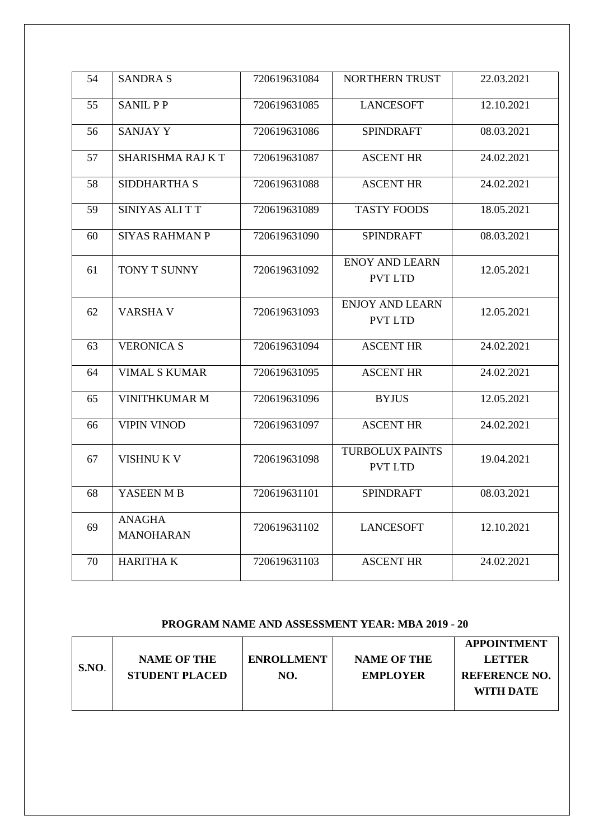| 54 | <b>SANDRA S</b>                   | 720619631084 | NORTHERN TRUST                           | 22.03.2021 |
|----|-----------------------------------|--------------|------------------------------------------|------------|
| 55 | <b>SANIL PP</b>                   | 720619631085 | <b>LANCESOFT</b>                         | 12.10.2021 |
| 56 | <b>SANJAY Y</b>                   | 720619631086 | <b>SPINDRAFT</b>                         | 08.03.2021 |
| 57 | SHARISHMA RAJ KT                  | 720619631087 | <b>ASCENT HR</b>                         | 24.02.2021 |
| 58 | <b>SIDDHARTHA S</b>               | 720619631088 | <b>ASCENT HR</b>                         | 24.02.2021 |
| 59 | SINIYAS ALI TT                    | 720619631089 | <b>TASTY FOODS</b>                       | 18.05.2021 |
| 60 | <b>SIYAS RAHMAN P</b>             | 720619631090 | <b>SPINDRAFT</b>                         | 08.03.2021 |
| 61 | TONY T SUNNY                      | 720619631092 | <b>ENOY AND LEARN</b><br><b>PVT LTD</b>  | 12.05.2021 |
| 62 | <b>VARSHA V</b>                   | 720619631093 | <b>ENJOY AND LEARN</b><br><b>PVT LTD</b> | 12.05.2021 |
| 63 | <b>VERONICA S</b>                 | 720619631094 | <b>ASCENT HR</b>                         | 24.02.2021 |
| 64 | <b>VIMAL S KUMAR</b>              | 720619631095 | <b>ASCENT HR</b>                         | 24.02.2021 |
| 65 | <b>VINITHKUMAR M</b>              | 720619631096 | <b>BYJUS</b>                             | 12.05.2021 |
| 66 | <b>VIPIN VINOD</b>                | 720619631097 | <b>ASCENT HR</b>                         | 24.02.2021 |
| 67 | <b>VISHNU K V</b>                 | 720619631098 | <b>TURBOLUX PAINTS</b><br><b>PVT LTD</b> | 19.04.2021 |
| 68 | YASEEN M B                        | 720619631101 | <b>SPINDRAFT</b>                         | 08.03.2021 |
| 69 | <b>ANAGHA</b><br><b>MANOHARAN</b> | 720619631102 | <b>LANCESOFT</b>                         | 12.10.2021 |
| 70 | <b>HARITHAK</b>                   | 720619631103 | <b>ASCENT HR</b>                         | 24.02.2021 |

#### **PROGRAM NAME AND ASSESSMENT YEAR: MBA 2019 - 20**

|      |                       |                   |                    | <b>APPOINTMENT</b>   |
|------|-----------------------|-------------------|--------------------|----------------------|
|      | <b>NAME OF THE</b>    | <b>ENROLLMENT</b> | <b>NAME OF THE</b> | <b>LETTER</b>        |
| SNO. | <b>STUDENT PLACED</b> | NO.               | <b>EMPLOYER</b>    | <b>REFERENCE NO.</b> |
|      |                       |                   |                    | WITH DATE            |
|      |                       |                   |                    |                      |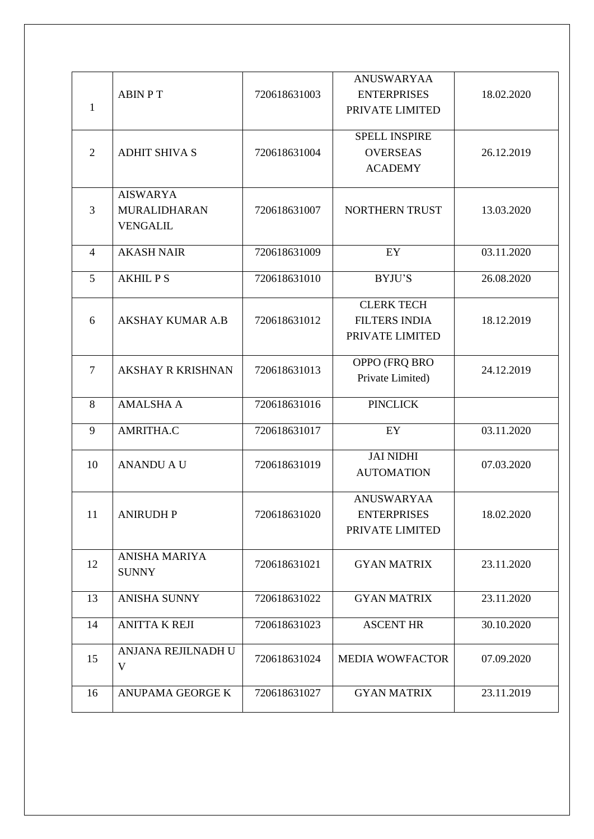| 1              | <b>ABIN PT</b>                                            | 720618631003 | ANUSWARYAA<br><b>ENTERPRISES</b><br>PRIVATE LIMITED          | 18.02.2020 |
|----------------|-----------------------------------------------------------|--------------|--------------------------------------------------------------|------------|
| 2              | <b>ADHIT SHIVA S</b>                                      | 720618631004 | <b>SPELL INSPIRE</b><br><b>OVERSEAS</b><br><b>ACADEMY</b>    | 26.12.2019 |
| 3              | <b>AISWARYA</b><br><b>MURALIDHARAN</b><br><b>VENGALIL</b> | 720618631007 | NORTHERN TRUST                                               | 13.03.2020 |
| $\overline{4}$ | <b>AKASH NAIR</b>                                         | 720618631009 | EY                                                           | 03.11.2020 |
| 5              | <b>AKHIL PS</b>                                           | 720618631010 | <b>BYJU'S</b>                                                | 26.08.2020 |
| 6              | <b>AKSHAY KUMAR A.B</b>                                   | 720618631012 | <b>CLERK TECH</b><br><b>FILTERS INDIA</b><br>PRIVATE LIMITED | 18.12.2019 |
| 7              | <b>AKSHAY R KRISHNAN</b>                                  | 720618631013 | OPPO (FRQ BRO<br>Private Limited)                            | 24.12.2019 |
| 8              | <b>AMALSHA A</b>                                          | 720618631016 | <b>PINCLICK</b>                                              |            |
| 9              | AMRITHA.C                                                 | 720618631017 | EY                                                           | 03.11.2020 |
| 10             | <b>ANANDU A U</b>                                         | 720618631019 | <b>JAI NIDHI</b><br><b>AUTOMATION</b>                        | 07.03.2020 |
| 11             | <b>ANIRUDH P</b>                                          | 720618631020 | <b>ANUSWARYAA</b><br><b>ENTERPRISES</b><br>PRIVATE LIMITED   | 18.02.2020 |
| 12             | ANISHA MARIYA<br><b>SUNNY</b>                             | 720618631021 | <b>GYAN MATRIX</b>                                           | 23.11.2020 |
| 13             | <b>ANISHA SUNNY</b>                                       | 720618631022 | <b>GYAN MATRIX</b>                                           | 23.11.2020 |
| 14             | <b>ANITTA K REJI</b>                                      | 720618631023 | <b>ASCENT HR</b>                                             | 30.10.2020 |
| 15             | ANJANA REJILNADH U<br>V                                   | 720618631024 | MEDIA WOWFACTOR                                              | 07.09.2020 |
| 16             | ANUPAMA GEORGE K                                          | 720618631027 | <b>GYAN MATRIX</b>                                           | 23.11.2019 |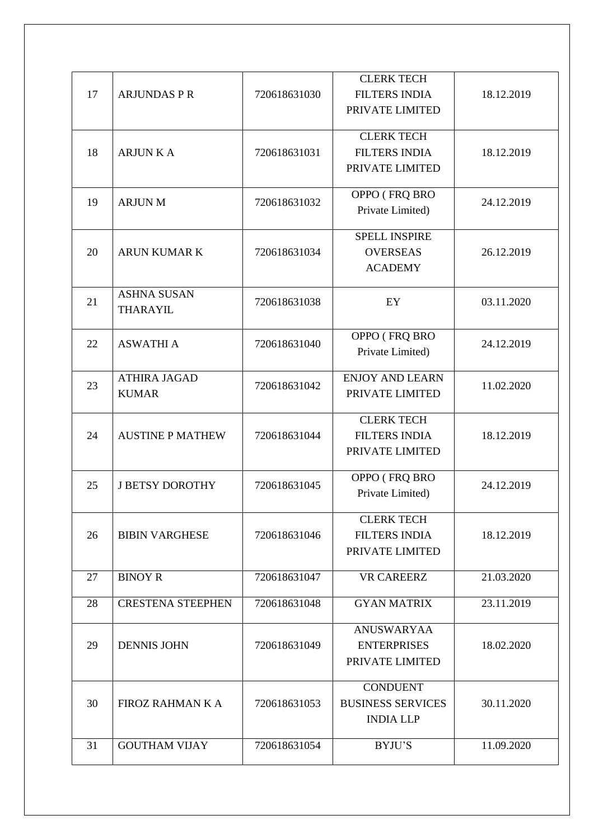| <b>FILTERS INDIA</b><br>17<br><b>ARJUNDAS P R</b><br>720618631030<br>18.12.2019<br>PRIVATE LIMITED<br><b>CLERK TECH</b><br><b>FILTERS INDIA</b><br>18<br><b>ARJUN K A</b><br>720618631031<br>18.12.2019<br>PRIVATE LIMITED<br>OPPO (FRQ BRO<br>19<br><b>ARJUN M</b><br>720618631032<br>24.12.2019<br>Private Limited)<br><b>SPELL INSPIRE</b><br>20<br><b>ARUN KUMAR K</b><br>720618631034<br><b>OVERSEAS</b><br>26.12.2019<br><b>ACADEMY</b><br><b>ASHNA SUSAN</b><br>21<br>720618631038<br>EY<br>03.11.2020<br><b>THARAYIL</b><br>OPPO (FRQ BRO<br>22<br><b>ASWATHI A</b><br>720618631040<br>24.12.2019<br>Private Limited)<br><b>ENJOY AND LEARN</b><br><b>ATHIRA JAGAD</b><br>23<br>720618631042<br>11.02.2020<br><b>KUMAR</b><br>PRIVATE LIMITED<br><b>CLERK TECH</b><br>24<br><b>AUSTINE P MATHEW</b><br>720618631044<br><b>FILTERS INDIA</b><br>18.12.2019<br>PRIVATE LIMITED<br>OPPO (FRQ BRO<br>25<br>720618631045<br><b>J BETSY DOROTHY</b><br>24.12.2019<br>Private Limited)<br><b>CLERK TECH</b><br>26<br><b>FILTERS INDIA</b><br>720618631046<br><b>BIBIN VARGHESE</b><br>18.12.2019<br>PRIVATE LIMITED<br><b>VR CAREERZ</b><br>21.03.2020<br>27<br><b>BINOY R</b><br>720618631047<br><b>CRESTENA STEEPHEN</b><br>720618631048<br><b>GYAN MATRIX</b><br>23.11.2019<br>28<br><b>ANUSWARYAA</b><br>29<br><b>DENNIS JOHN</b><br>720618631049<br><b>ENTERPRISES</b><br>18.02.2020<br>PRIVATE LIMITED<br><b>CONDUENT</b><br><b>BUSINESS SERVICES</b><br>30<br>FIROZ RAHMAN K A<br>720618631053<br>30.11.2020<br><b>INDIA LLP</b><br>31<br><b>GOUTHAM VIJAY</b><br>720618631054<br><b>BYJU'S</b><br>11.09.2020 |  | <b>CLERK TECH</b> |  |
|-----------------------------------------------------------------------------------------------------------------------------------------------------------------------------------------------------------------------------------------------------------------------------------------------------------------------------------------------------------------------------------------------------------------------------------------------------------------------------------------------------------------------------------------------------------------------------------------------------------------------------------------------------------------------------------------------------------------------------------------------------------------------------------------------------------------------------------------------------------------------------------------------------------------------------------------------------------------------------------------------------------------------------------------------------------------------------------------------------------------------------------------------------------------------------------------------------------------------------------------------------------------------------------------------------------------------------------------------------------------------------------------------------------------------------------------------------------------------------------------------------------------------------------------------------------------------------------------------------------------------|--|-------------------|--|
|                                                                                                                                                                                                                                                                                                                                                                                                                                                                                                                                                                                                                                                                                                                                                                                                                                                                                                                                                                                                                                                                                                                                                                                                                                                                                                                                                                                                                                                                                                                                                                                                                       |  |                   |  |
|                                                                                                                                                                                                                                                                                                                                                                                                                                                                                                                                                                                                                                                                                                                                                                                                                                                                                                                                                                                                                                                                                                                                                                                                                                                                                                                                                                                                                                                                                                                                                                                                                       |  |                   |  |
|                                                                                                                                                                                                                                                                                                                                                                                                                                                                                                                                                                                                                                                                                                                                                                                                                                                                                                                                                                                                                                                                                                                                                                                                                                                                                                                                                                                                                                                                                                                                                                                                                       |  |                   |  |
|                                                                                                                                                                                                                                                                                                                                                                                                                                                                                                                                                                                                                                                                                                                                                                                                                                                                                                                                                                                                                                                                                                                                                                                                                                                                                                                                                                                                                                                                                                                                                                                                                       |  |                   |  |
|                                                                                                                                                                                                                                                                                                                                                                                                                                                                                                                                                                                                                                                                                                                                                                                                                                                                                                                                                                                                                                                                                                                                                                                                                                                                                                                                                                                                                                                                                                                                                                                                                       |  |                   |  |
|                                                                                                                                                                                                                                                                                                                                                                                                                                                                                                                                                                                                                                                                                                                                                                                                                                                                                                                                                                                                                                                                                                                                                                                                                                                                                                                                                                                                                                                                                                                                                                                                                       |  |                   |  |
|                                                                                                                                                                                                                                                                                                                                                                                                                                                                                                                                                                                                                                                                                                                                                                                                                                                                                                                                                                                                                                                                                                                                                                                                                                                                                                                                                                                                                                                                                                                                                                                                                       |  |                   |  |
|                                                                                                                                                                                                                                                                                                                                                                                                                                                                                                                                                                                                                                                                                                                                                                                                                                                                                                                                                                                                                                                                                                                                                                                                                                                                                                                                                                                                                                                                                                                                                                                                                       |  |                   |  |
|                                                                                                                                                                                                                                                                                                                                                                                                                                                                                                                                                                                                                                                                                                                                                                                                                                                                                                                                                                                                                                                                                                                                                                                                                                                                                                                                                                                                                                                                                                                                                                                                                       |  |                   |  |
|                                                                                                                                                                                                                                                                                                                                                                                                                                                                                                                                                                                                                                                                                                                                                                                                                                                                                                                                                                                                                                                                                                                                                                                                                                                                                                                                                                                                                                                                                                                                                                                                                       |  |                   |  |
|                                                                                                                                                                                                                                                                                                                                                                                                                                                                                                                                                                                                                                                                                                                                                                                                                                                                                                                                                                                                                                                                                                                                                                                                                                                                                                                                                                                                                                                                                                                                                                                                                       |  |                   |  |
|                                                                                                                                                                                                                                                                                                                                                                                                                                                                                                                                                                                                                                                                                                                                                                                                                                                                                                                                                                                                                                                                                                                                                                                                                                                                                                                                                                                                                                                                                                                                                                                                                       |  |                   |  |
|                                                                                                                                                                                                                                                                                                                                                                                                                                                                                                                                                                                                                                                                                                                                                                                                                                                                                                                                                                                                                                                                                                                                                                                                                                                                                                                                                                                                                                                                                                                                                                                                                       |  |                   |  |
|                                                                                                                                                                                                                                                                                                                                                                                                                                                                                                                                                                                                                                                                                                                                                                                                                                                                                                                                                                                                                                                                                                                                                                                                                                                                                                                                                                                                                                                                                                                                                                                                                       |  |                   |  |
|                                                                                                                                                                                                                                                                                                                                                                                                                                                                                                                                                                                                                                                                                                                                                                                                                                                                                                                                                                                                                                                                                                                                                                                                                                                                                                                                                                                                                                                                                                                                                                                                                       |  |                   |  |
|                                                                                                                                                                                                                                                                                                                                                                                                                                                                                                                                                                                                                                                                                                                                                                                                                                                                                                                                                                                                                                                                                                                                                                                                                                                                                                                                                                                                                                                                                                                                                                                                                       |  |                   |  |
|                                                                                                                                                                                                                                                                                                                                                                                                                                                                                                                                                                                                                                                                                                                                                                                                                                                                                                                                                                                                                                                                                                                                                                                                                                                                                                                                                                                                                                                                                                                                                                                                                       |  |                   |  |
|                                                                                                                                                                                                                                                                                                                                                                                                                                                                                                                                                                                                                                                                                                                                                                                                                                                                                                                                                                                                                                                                                                                                                                                                                                                                                                                                                                                                                                                                                                                                                                                                                       |  |                   |  |
|                                                                                                                                                                                                                                                                                                                                                                                                                                                                                                                                                                                                                                                                                                                                                                                                                                                                                                                                                                                                                                                                                                                                                                                                                                                                                                                                                                                                                                                                                                                                                                                                                       |  |                   |  |
|                                                                                                                                                                                                                                                                                                                                                                                                                                                                                                                                                                                                                                                                                                                                                                                                                                                                                                                                                                                                                                                                                                                                                                                                                                                                                                                                                                                                                                                                                                                                                                                                                       |  |                   |  |
|                                                                                                                                                                                                                                                                                                                                                                                                                                                                                                                                                                                                                                                                                                                                                                                                                                                                                                                                                                                                                                                                                                                                                                                                                                                                                                                                                                                                                                                                                                                                                                                                                       |  |                   |  |
|                                                                                                                                                                                                                                                                                                                                                                                                                                                                                                                                                                                                                                                                                                                                                                                                                                                                                                                                                                                                                                                                                                                                                                                                                                                                                                                                                                                                                                                                                                                                                                                                                       |  |                   |  |
|                                                                                                                                                                                                                                                                                                                                                                                                                                                                                                                                                                                                                                                                                                                                                                                                                                                                                                                                                                                                                                                                                                                                                                                                                                                                                                                                                                                                                                                                                                                                                                                                                       |  |                   |  |
|                                                                                                                                                                                                                                                                                                                                                                                                                                                                                                                                                                                                                                                                                                                                                                                                                                                                                                                                                                                                                                                                                                                                                                                                                                                                                                                                                                                                                                                                                                                                                                                                                       |  |                   |  |
|                                                                                                                                                                                                                                                                                                                                                                                                                                                                                                                                                                                                                                                                                                                                                                                                                                                                                                                                                                                                                                                                                                                                                                                                                                                                                                                                                                                                                                                                                                                                                                                                                       |  |                   |  |
|                                                                                                                                                                                                                                                                                                                                                                                                                                                                                                                                                                                                                                                                                                                                                                                                                                                                                                                                                                                                                                                                                                                                                                                                                                                                                                                                                                                                                                                                                                                                                                                                                       |  |                   |  |
|                                                                                                                                                                                                                                                                                                                                                                                                                                                                                                                                                                                                                                                                                                                                                                                                                                                                                                                                                                                                                                                                                                                                                                                                                                                                                                                                                                                                                                                                                                                                                                                                                       |  |                   |  |
|                                                                                                                                                                                                                                                                                                                                                                                                                                                                                                                                                                                                                                                                                                                                                                                                                                                                                                                                                                                                                                                                                                                                                                                                                                                                                                                                                                                                                                                                                                                                                                                                                       |  |                   |  |
|                                                                                                                                                                                                                                                                                                                                                                                                                                                                                                                                                                                                                                                                                                                                                                                                                                                                                                                                                                                                                                                                                                                                                                                                                                                                                                                                                                                                                                                                                                                                                                                                                       |  |                   |  |
|                                                                                                                                                                                                                                                                                                                                                                                                                                                                                                                                                                                                                                                                                                                                                                                                                                                                                                                                                                                                                                                                                                                                                                                                                                                                                                                                                                                                                                                                                                                                                                                                                       |  |                   |  |
|                                                                                                                                                                                                                                                                                                                                                                                                                                                                                                                                                                                                                                                                                                                                                                                                                                                                                                                                                                                                                                                                                                                                                                                                                                                                                                                                                                                                                                                                                                                                                                                                                       |  |                   |  |
|                                                                                                                                                                                                                                                                                                                                                                                                                                                                                                                                                                                                                                                                                                                                                                                                                                                                                                                                                                                                                                                                                                                                                                                                                                                                                                                                                                                                                                                                                                                                                                                                                       |  |                   |  |
|                                                                                                                                                                                                                                                                                                                                                                                                                                                                                                                                                                                                                                                                                                                                                                                                                                                                                                                                                                                                                                                                                                                                                                                                                                                                                                                                                                                                                                                                                                                                                                                                                       |  |                   |  |
|                                                                                                                                                                                                                                                                                                                                                                                                                                                                                                                                                                                                                                                                                                                                                                                                                                                                                                                                                                                                                                                                                                                                                                                                                                                                                                                                                                                                                                                                                                                                                                                                                       |  |                   |  |
|                                                                                                                                                                                                                                                                                                                                                                                                                                                                                                                                                                                                                                                                                                                                                                                                                                                                                                                                                                                                                                                                                                                                                                                                                                                                                                                                                                                                                                                                                                                                                                                                                       |  |                   |  |
|                                                                                                                                                                                                                                                                                                                                                                                                                                                                                                                                                                                                                                                                                                                                                                                                                                                                                                                                                                                                                                                                                                                                                                                                                                                                                                                                                                                                                                                                                                                                                                                                                       |  |                   |  |
|                                                                                                                                                                                                                                                                                                                                                                                                                                                                                                                                                                                                                                                                                                                                                                                                                                                                                                                                                                                                                                                                                                                                                                                                                                                                                                                                                                                                                                                                                                                                                                                                                       |  |                   |  |
|                                                                                                                                                                                                                                                                                                                                                                                                                                                                                                                                                                                                                                                                                                                                                                                                                                                                                                                                                                                                                                                                                                                                                                                                                                                                                                                                                                                                                                                                                                                                                                                                                       |  |                   |  |
|                                                                                                                                                                                                                                                                                                                                                                                                                                                                                                                                                                                                                                                                                                                                                                                                                                                                                                                                                                                                                                                                                                                                                                                                                                                                                                                                                                                                                                                                                                                                                                                                                       |  |                   |  |
|                                                                                                                                                                                                                                                                                                                                                                                                                                                                                                                                                                                                                                                                                                                                                                                                                                                                                                                                                                                                                                                                                                                                                                                                                                                                                                                                                                                                                                                                                                                                                                                                                       |  |                   |  |
|                                                                                                                                                                                                                                                                                                                                                                                                                                                                                                                                                                                                                                                                                                                                                                                                                                                                                                                                                                                                                                                                                                                                                                                                                                                                                                                                                                                                                                                                                                                                                                                                                       |  |                   |  |
|                                                                                                                                                                                                                                                                                                                                                                                                                                                                                                                                                                                                                                                                                                                                                                                                                                                                                                                                                                                                                                                                                                                                                                                                                                                                                                                                                                                                                                                                                                                                                                                                                       |  |                   |  |
|                                                                                                                                                                                                                                                                                                                                                                                                                                                                                                                                                                                                                                                                                                                                                                                                                                                                                                                                                                                                                                                                                                                                                                                                                                                                                                                                                                                                                                                                                                                                                                                                                       |  |                   |  |
|                                                                                                                                                                                                                                                                                                                                                                                                                                                                                                                                                                                                                                                                                                                                                                                                                                                                                                                                                                                                                                                                                                                                                                                                                                                                                                                                                                                                                                                                                                                                                                                                                       |  |                   |  |
|                                                                                                                                                                                                                                                                                                                                                                                                                                                                                                                                                                                                                                                                                                                                                                                                                                                                                                                                                                                                                                                                                                                                                                                                                                                                                                                                                                                                                                                                                                                                                                                                                       |  |                   |  |
|                                                                                                                                                                                                                                                                                                                                                                                                                                                                                                                                                                                                                                                                                                                                                                                                                                                                                                                                                                                                                                                                                                                                                                                                                                                                                                                                                                                                                                                                                                                                                                                                                       |  |                   |  |
|                                                                                                                                                                                                                                                                                                                                                                                                                                                                                                                                                                                                                                                                                                                                                                                                                                                                                                                                                                                                                                                                                                                                                                                                                                                                                                                                                                                                                                                                                                                                                                                                                       |  |                   |  |
|                                                                                                                                                                                                                                                                                                                                                                                                                                                                                                                                                                                                                                                                                                                                                                                                                                                                                                                                                                                                                                                                                                                                                                                                                                                                                                                                                                                                                                                                                                                                                                                                                       |  |                   |  |
|                                                                                                                                                                                                                                                                                                                                                                                                                                                                                                                                                                                                                                                                                                                                                                                                                                                                                                                                                                                                                                                                                                                                                                                                                                                                                                                                                                                                                                                                                                                                                                                                                       |  |                   |  |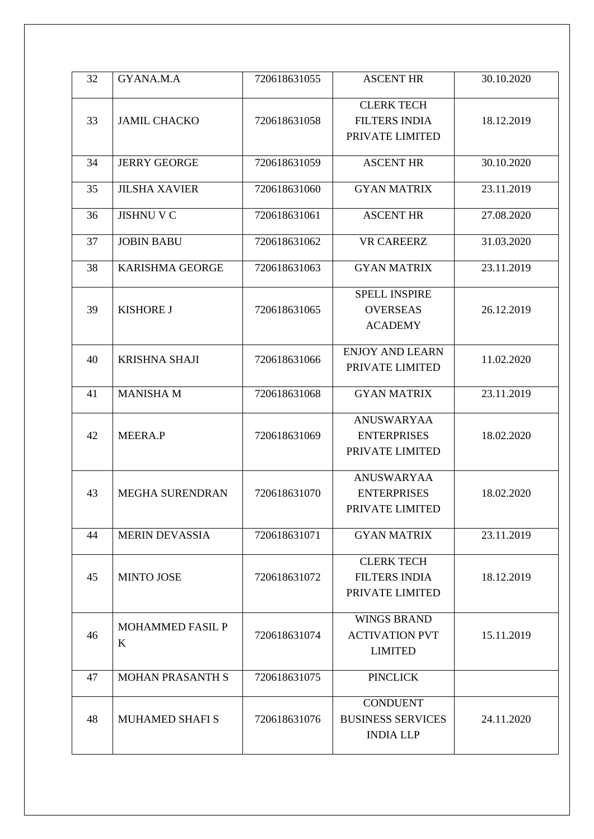| 32 | GYANA.M.A               | 720618631055 | <b>ASCENT HR</b>         | 30.10.2020 |
|----|-------------------------|--------------|--------------------------|------------|
|    |                         |              |                          |            |
|    |                         |              | <b>CLERK TECH</b>        |            |
| 33 | <b>JAMIL CHACKO</b>     | 720618631058 | <b>FILTERS INDIA</b>     | 18.12.2019 |
|    |                         |              | PRIVATE LIMITED          |            |
|    |                         |              |                          |            |
| 34 | <b>JERRY GEORGE</b>     | 720618631059 | <b>ASCENT HR</b>         | 30.10.2020 |
|    |                         |              |                          |            |
| 35 | <b>JILSHA XAVIER</b>    | 720618631060 | <b>GYAN MATRIX</b>       | 23.11.2019 |
| 36 | <b>JISHNU V C</b>       | 720618631061 | <b>ASCENT HR</b>         | 27.08.2020 |
|    |                         |              |                          |            |
| 37 | <b>JOBIN BABU</b>       | 720618631062 | <b>VR CAREERZ</b>        | 31.03.2020 |
|    |                         |              |                          |            |
| 38 | <b>KARISHMA GEORGE</b>  | 720618631063 | <b>GYAN MATRIX</b>       | 23.11.2019 |
|    |                         |              | <b>SPELL INSPIRE</b>     |            |
| 39 | <b>KISHORE J</b>        | 720618631065 | <b>OVERSEAS</b>          | 26.12.2019 |
|    |                         |              |                          |            |
|    |                         |              | <b>ACADEMY</b>           |            |
|    |                         |              | <b>ENJOY AND LEARN</b>   |            |
| 40 | <b>KRISHNA SHAJI</b>    | 720618631066 | PRIVATE LIMITED          | 11.02.2020 |
|    |                         |              |                          |            |
| 41 | <b>MANISHAM</b>         | 720618631068 | <b>GYAN MATRIX</b>       | 23.11.2019 |
|    |                         |              |                          |            |
|    |                         |              | ANUSWARYAA               |            |
| 42 | <b>MEERA.P</b>          | 720618631069 | <b>ENTERPRISES</b>       | 18.02.2020 |
|    |                         |              | PRIVATE LIMITED          |            |
|    |                         |              | ANUSWARYAA               |            |
| 43 | <b>MEGHA SURENDRAN</b>  | 720618631070 | <b>ENTERPRISES</b>       | 18.02.2020 |
|    |                         |              | PRIVATE LIMITED          |            |
|    |                         |              |                          |            |
| 44 | <b>MERIN DEVASSIA</b>   | 720618631071 | <b>GYAN MATRIX</b>       | 23.11.2019 |
|    |                         |              |                          |            |
|    |                         |              | <b>CLERK TECH</b>        |            |
| 45 | <b>MINTO JOSE</b>       | 720618631072 | <b>FILTERS INDIA</b>     | 18.12.2019 |
|    |                         |              | PRIVATE LIMITED          |            |
|    |                         |              | <b>WINGS BRAND</b>       |            |
| 46 | <b>MOHAMMED FASIL P</b> | 720618631074 | <b>ACTIVATION PVT</b>    | 15.11.2019 |
|    | K                       |              | <b>LIMITED</b>           |            |
|    |                         |              |                          |            |
| 47 | MOHAN PRASANTH S        | 720618631075 | <b>PINCLICK</b>          |            |
|    |                         |              |                          |            |
|    |                         |              | <b>CONDUENT</b>          |            |
| 48 | <b>MUHAMED SHAFI S</b>  | 720618631076 | <b>BUSINESS SERVICES</b> | 24.11.2020 |
|    |                         |              | <b>INDIA LLP</b>         |            |
|    |                         |              |                          |            |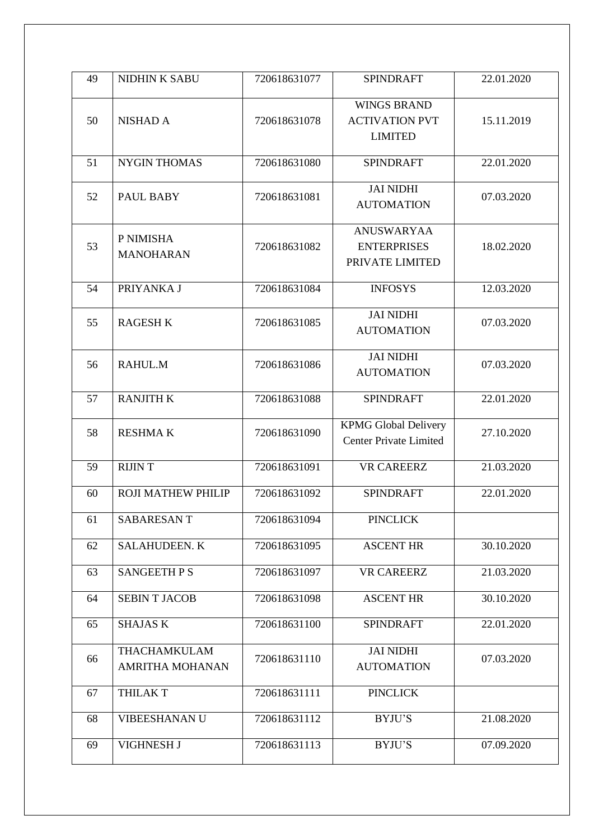| 49 | <b>NIDHIN K SABU</b>                          | 720618631077 | <b>SPINDRAFT</b>                                              | 22.01.2020 |
|----|-----------------------------------------------|--------------|---------------------------------------------------------------|------------|
| 50 | <b>NISHAD A</b>                               | 720618631078 | <b>WINGS BRAND</b><br><b>ACTIVATION PVT</b><br><b>LIMITED</b> | 15.11.2019 |
| 51 | <b>NYGIN THOMAS</b>                           | 720618631080 | <b>SPINDRAFT</b>                                              | 22.01.2020 |
| 52 | PAUL BABY                                     | 720618631081 | <b>JAI NIDHI</b><br><b>AUTOMATION</b>                         | 07.03.2020 |
| 53 | P NIMISHA<br><b>MANOHARAN</b>                 | 720618631082 | <b>ANUSWARYAA</b><br><b>ENTERPRISES</b><br>PRIVATE LIMITED    | 18.02.2020 |
| 54 | PRIYANKA J                                    | 720618631084 | <b>INFOSYS</b>                                                | 12.03.2020 |
| 55 | <b>RAGESH K</b>                               | 720618631085 | <b>JAI NIDHI</b><br><b>AUTOMATION</b>                         | 07.03.2020 |
| 56 | RAHUL.M                                       | 720618631086 | <b>JAI NIDHI</b><br><b>AUTOMATION</b>                         | 07.03.2020 |
| 57 | <b>RANJITH K</b>                              | 720618631088 | <b>SPINDRAFT</b>                                              | 22.01.2020 |
| 58 | <b>RESHMAK</b>                                | 720618631090 | <b>KPMG Global Delivery</b><br><b>Center Private Limited</b>  | 27.10.2020 |
| 59 | <b>RIJINT</b>                                 | 720618631091 | <b>VR CAREERZ</b>                                             | 21.03.2020 |
| 60 | ROJI MATHEW PHILIP                            | 720618631092 | <b>SPINDRAFT</b>                                              | 22.01.2020 |
| 61 | SABARESANT                                    | 720618631094 | <b>PINCLICK</b>                                               |            |
| 62 | <b>SALAHUDEEN. K</b>                          | 720618631095 | <b>ASCENT HR</b>                                              | 30.10.2020 |
| 63 | <b>SANGEETH P S</b>                           | 720618631097 | <b>VR CAREERZ</b>                                             | 21.03.2020 |
| 64 | <b>SEBINT JACOB</b>                           | 720618631098 | <b>ASCENT HR</b>                                              | 30.10.2020 |
| 65 | <b>SHAJAS K</b>                               | 720618631100 | <b>SPINDRAFT</b>                                              | 22.01.2020 |
| 66 | <b>THACHAMKULAM</b><br><b>AMRITHA MOHANAN</b> | 720618631110 | <b>JAI NIDHI</b><br><b>AUTOMATION</b>                         | 07.03.2020 |
| 67 | <b>THILAK T</b>                               | 720618631111 | <b>PINCLICK</b>                                               |            |
| 68 | VIBEESHANAN U                                 | 720618631112 | BYJU'S                                                        | 21.08.2020 |
| 69 | VIGHNESH J                                    | 720618631113 | BYJU'S                                                        | 07.09.2020 |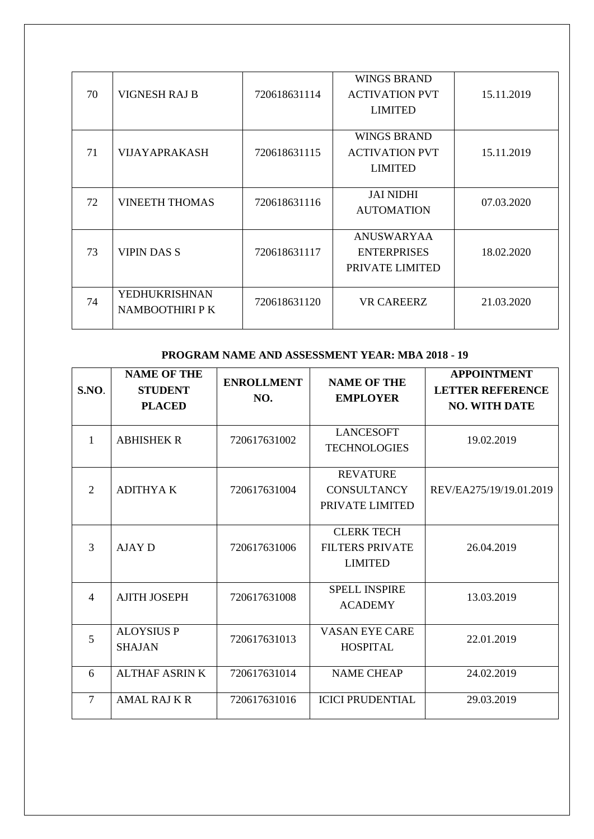| 70 | <b>VIGNESH RAJ B</b>             | 720618631114 | <b>WINGS BRAND</b><br><b>ACTIVATION PVT</b><br><b>LIMITED</b> | 15.11.2019 |
|----|----------------------------------|--------------|---------------------------------------------------------------|------------|
| 71 | <b>VIJAYAPRAKASH</b>             | 720618631115 | <b>WINGS BRAND</b><br><b>ACTIVATION PVT</b><br><b>LIMITED</b> | 15.11.2019 |
| 72 | <b>VINEETH THOMAS</b>            | 720618631116 | <b>JAI NIDHI</b><br><b>AUTOMATION</b>                         | 07.03.2020 |
| 73 | <b>VIPIN DAS S</b>               | 720618631117 | <b>ANUSWARYAA</b><br><b>ENTERPRISES</b><br>PRIVATE LIMITED    | 18.02.2020 |
| 74 | YEDHUKRISHNAN<br>NAMBOOTHIRI P K | 720618631120 | <b>VR CAREERZ</b>                                             | 21.03.2020 |

### **PROGRAM NAME AND ASSESSMENT YEAR: MBA 2018 - 19**

| S.NO.          | <b>NAME OF THE</b><br><b>STUDENT</b><br><b>PLACED</b> | <b>ENROLLMENT</b><br>NO. | <b>NAME OF THE</b><br><b>EMPLOYER</b>                         | <b>APPOINTMENT</b><br><b>LETTER REFERENCE</b><br><b>NO. WITH DATE</b> |
|----------------|-------------------------------------------------------|--------------------------|---------------------------------------------------------------|-----------------------------------------------------------------------|
| 1              | <b>ABHISHEK R</b>                                     | 720617631002             | <b>LANCESOFT</b><br><b>TECHNOLOGIES</b>                       | 19.02.2019                                                            |
| 2              | <b>ADITHYAK</b>                                       | 720617631004             | <b>REVATURE</b><br><b>CONSULTANCY</b><br>PRIVATE LIMITED      | REV/EA275/19/19.01.2019                                               |
| 3              | AJAY D                                                | 720617631006             | <b>CLERK TECH</b><br><b>FILTERS PRIVATE</b><br><b>LIMITED</b> | 26.04.2019                                                            |
| $\overline{4}$ | <b>AJITH JOSEPH</b>                                   | 720617631008             | <b>SPELL INSPIRE</b><br><b>ACADEMY</b>                        | 13.03.2019                                                            |
| 5              | <b>ALOYSIUS P</b><br><b>SHAJAN</b>                    | 720617631013             | <b>VASAN EYE CARE</b><br><b>HOSPITAL</b>                      | 22.01.2019                                                            |
| 6              | <b>ALTHAF ASRIN K</b>                                 | 720617631014             | <b>NAME CHEAP</b>                                             | 24.02.2019                                                            |
| $\tau$         | <b>AMAL RAJ K R</b>                                   | 720617631016             | <b>ICICI PRUDENTIAL</b>                                       | 29.03.2019                                                            |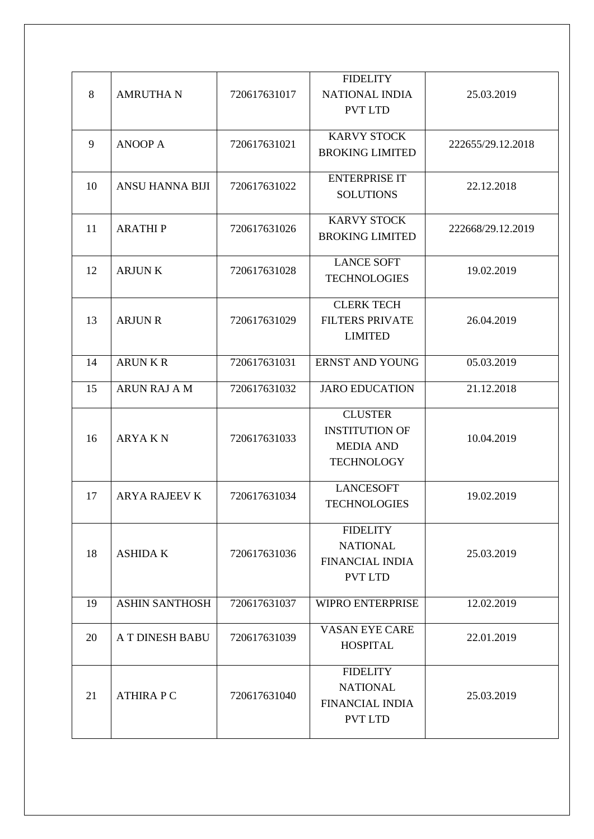| 8  | <b>AMRUTHA N</b>       | 720617631017 | <b>FIDELITY</b><br><b>NATIONAL INDIA</b><br><b>PVT LTD</b>                       | 25.03.2019        |
|----|------------------------|--------------|----------------------------------------------------------------------------------|-------------------|
| 9  | <b>ANOOP A</b>         | 720617631021 | <b>KARVY STOCK</b><br><b>BROKING LIMITED</b>                                     | 222655/29.12.2018 |
| 10 | <b>ANSU HANNA BIJI</b> | 720617631022 | <b>ENTERPRISE IT</b><br><b>SOLUTIONS</b>                                         | 22.12.2018        |
| 11 | <b>ARATHIP</b>         | 720617631026 | <b>KARVY STOCK</b><br><b>BROKING LIMITED</b>                                     | 222668/29.12.2019 |
| 12 | <b>ARJUNK</b>          | 720617631028 | <b>LANCE SOFT</b><br><b>TECHNOLOGIES</b>                                         | 19.02.2019        |
| 13 | <b>ARJUN R</b>         | 720617631029 | <b>CLERK TECH</b><br><b>FILTERS PRIVATE</b><br><b>LIMITED</b>                    | 26.04.2019        |
| 14 | <b>ARUNKR</b>          | 720617631031 | <b>ERNST AND YOUNG</b>                                                           | 05.03.2019        |
| 15 | <b>ARUN RAJ A M</b>    | 720617631032 | <b>JARO EDUCATION</b>                                                            | 21.12.2018        |
| 16 | <b>ARYAKN</b>          | 720617631033 | <b>CLUSTER</b><br><b>INSTITUTION OF</b><br><b>MEDIA AND</b><br><b>TECHNOLOGY</b> | 10.04.2019        |
| 17 | <b>ARYA RAJEEV K</b>   | 720617631034 | <b>LANCESOFT</b><br><b>TECHNOLOGIES</b>                                          | 19.02.2019        |
| 18 | <b>ASHIDA K</b>        | 720617631036 | <b>FIDELITY</b><br><b>NATIONAL</b><br>FINANCIAL INDIA<br><b>PVT LTD</b>          | 25.03.2019        |
| 19 | <b>ASHIN SANTHOSH</b>  | 720617631037 | <b>WIPRO ENTERPRISE</b>                                                          | 12.02.2019        |
| 20 | A T DINESH BABU        | 720617631039 | <b>VASAN EYE CARE</b><br><b>HOSPITAL</b>                                         | 22.01.2019        |
| 21 | <b>ATHIRAPC</b>        | 720617631040 | <b>FIDELITY</b><br><b>NATIONAL</b><br><b>FINANCIAL INDIA</b><br><b>PVT LTD</b>   | 25.03.2019        |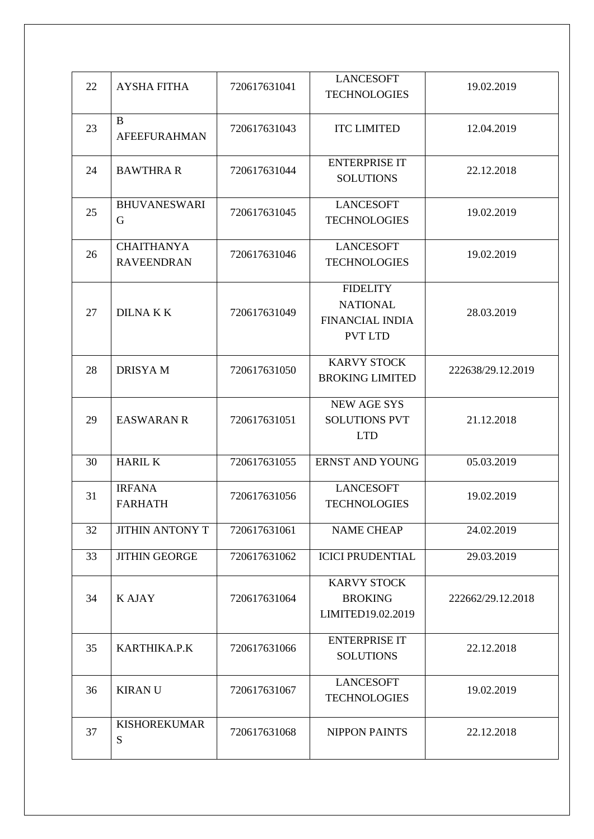| 22 | <b>AYSHA FITHA</b>                     | 720617631041 | <b>LANCESOFT</b><br><b>TECHNOLOGIES</b>                                        | 19.02.2019        |
|----|----------------------------------------|--------------|--------------------------------------------------------------------------------|-------------------|
| 23 | B<br><b>AFEEFURAHMAN</b>               | 720617631043 | <b>ITC LIMITED</b>                                                             | 12.04.2019        |
| 24 | <b>BAWTHRA R</b>                       | 720617631044 | <b>ENTERPRISE IT</b><br><b>SOLUTIONS</b>                                       | 22.12.2018        |
| 25 | <b>BHUVANESWARI</b><br>G               | 720617631045 | <b>LANCESOFT</b><br><b>TECHNOLOGIES</b>                                        | 19.02.2019        |
| 26 | <b>CHAITHANYA</b><br><b>RAVEENDRAN</b> | 720617631046 | <b>LANCESOFT</b><br><b>TECHNOLOGIES</b>                                        | 19.02.2019        |
| 27 | <b>DILNAKK</b>                         | 720617631049 | <b>FIDELITY</b><br><b>NATIONAL</b><br><b>FINANCIAL INDIA</b><br><b>PVT LTD</b> | 28.03.2019        |
| 28 | <b>DRISYAM</b>                         | 720617631050 | <b>KARVY STOCK</b><br><b>BROKING LIMITED</b>                                   | 222638/29.12.2019 |
| 29 | <b>EASWARAN R</b>                      | 720617631051 | <b>NEW AGE SYS</b><br><b>SOLUTIONS PVT</b><br><b>LTD</b>                       | 21.12.2018        |
| 30 | <b>HARIL K</b>                         | 720617631055 | <b>ERNST AND YOUNG</b>                                                         | 05.03.2019        |
| 31 | <b>IRFANA</b><br><b>FARHATH</b>        | 720617631056 | <b>LANCESOFT</b><br><b>TECHNOLOGIES</b>                                        | 19.02.2019        |
| 32 | <b>JITHIN ANTONY T</b>                 | 720617631061 | <b>NAME CHEAP</b>                                                              | 24.02.2019        |
| 33 | <b>JITHIN GEORGE</b>                   | 720617631062 | <b>ICICI PRUDENTIAL</b>                                                        | 29.03.2019        |
| 34 | <b>KAJAY</b>                           | 720617631064 | <b>KARVY STOCK</b><br><b>BROKING</b><br>LIMITED19.02.2019                      | 222662/29.12.2018 |
| 35 | KARTHIKA.P.K                           | 720617631066 | <b>ENTERPRISE IT</b><br><b>SOLUTIONS</b>                                       | 22.12.2018        |
| 36 | <b>KIRANU</b>                          | 720617631067 | <b>LANCESOFT</b><br><b>TECHNOLOGIES</b>                                        | 19.02.2019        |
| 37 | <b>KISHOREKUMAR</b><br>S               | 720617631068 | <b>NIPPON PAINTS</b>                                                           | 22.12.2018        |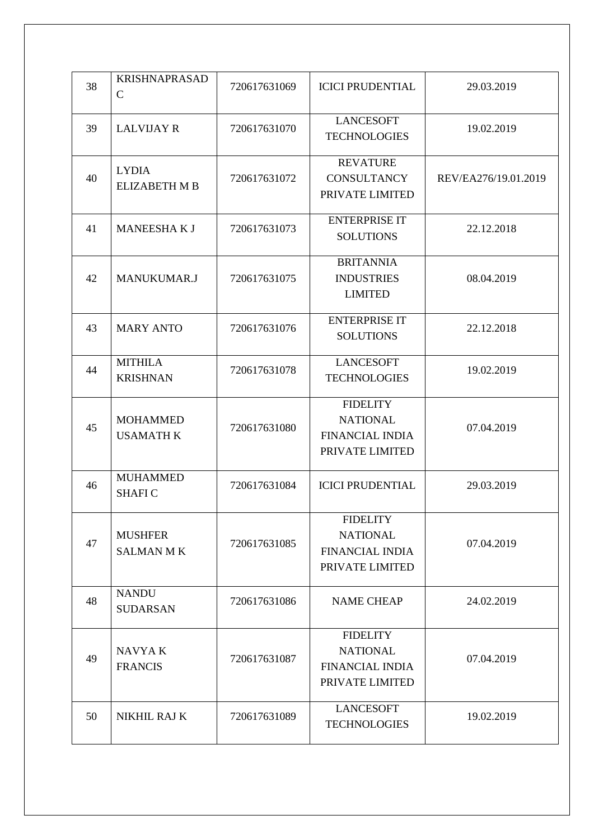| 38 | <b>KRISHNAPRASAD</b><br>$\mathbf C$  | 720617631069 | <b>ICICI PRUDENTIAL</b>                                                         | 29.03.2019           |
|----|--------------------------------------|--------------|---------------------------------------------------------------------------------|----------------------|
| 39 | <b>LALVIJAY R</b>                    | 720617631070 | <b>LANCESOFT</b><br><b>TECHNOLOGIES</b>                                         | 19.02.2019           |
| 40 | <b>LYDIA</b><br><b>ELIZABETH M B</b> | 720617631072 | <b>REVATURE</b><br><b>CONSULTANCY</b><br>PRIVATE LIMITED                        | REV/EA276/19.01.2019 |
| 41 | <b>MANEESHAKJ</b>                    | 720617631073 | <b>ENTERPRISE IT</b><br><b>SOLUTIONS</b>                                        | 22.12.2018           |
| 42 | <b>MANUKUMAR.J</b>                   | 720617631075 | <b>BRITANNIA</b><br><b>INDUSTRIES</b><br><b>LIMITED</b>                         | 08.04.2019           |
| 43 | <b>MARY ANTO</b>                     | 720617631076 | <b>ENTERPRISE IT</b><br><b>SOLUTIONS</b>                                        | 22.12.2018           |
| 44 | <b>MITHILA</b><br><b>KRISHNAN</b>    | 720617631078 | <b>LANCESOFT</b><br><b>TECHNOLOGIES</b>                                         | 19.02.2019           |
| 45 | <b>MOHAMMED</b><br><b>USAMATH K</b>  | 720617631080 | <b>FIDELITY</b><br><b>NATIONAL</b><br><b>FINANCIAL INDIA</b><br>PRIVATE LIMITED | 07.04.2019           |
| 46 | <b>MUHAMMED</b><br><b>SHAFIC</b>     | 720617631084 | <b>ICICI PRUDENTIAL</b>                                                         | 29.03.2019           |
| 47 | <b>MUSHFER</b><br><b>SALMAN MK</b>   | 720617631085 | <b>FIDELITY</b><br><b>NATIONAL</b><br><b>FINANCIAL INDIA</b><br>PRIVATE LIMITED | 07.04.2019           |
| 48 | <b>NANDU</b><br><b>SUDARSAN</b>      | 720617631086 | <b>NAME CHEAP</b>                                                               | 24.02.2019           |
| 49 | <b>NAVYAK</b><br><b>FRANCIS</b>      | 720617631087 | <b>FIDELITY</b><br><b>NATIONAL</b><br><b>FINANCIAL INDIA</b><br>PRIVATE LIMITED | 07.04.2019           |
| 50 | NIKHIL RAJ K                         | 720617631089 | <b>LANCESOFT</b><br><b>TECHNOLOGIES</b>                                         | 19.02.2019           |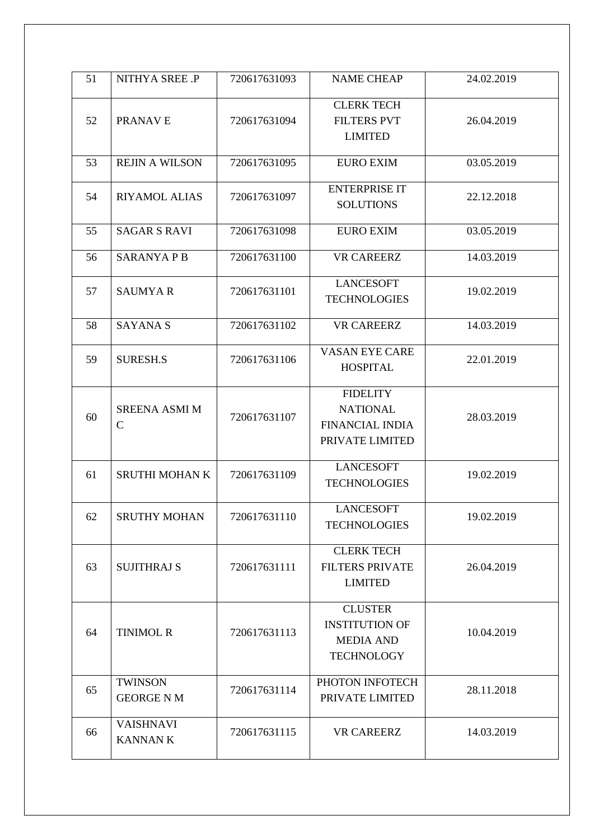| 51 | NITHYA SREE .P                       | 720617631093 | <b>NAME CHEAP</b>                                                                | 24.02.2019 |
|----|--------------------------------------|--------------|----------------------------------------------------------------------------------|------------|
| 52 | PRANAVE                              | 720617631094 | <b>CLERK TECH</b><br><b>FILTERS PVT</b><br><b>LIMITED</b>                        | 26.04.2019 |
| 53 | <b>REJIN A WILSON</b>                | 720617631095 | <b>EURO EXIM</b>                                                                 | 03.05.2019 |
| 54 | RIYAMOL ALIAS                        | 720617631097 | <b>ENTERPRISE IT</b><br><b>SOLUTIONS</b>                                         | 22.12.2018 |
| 55 | <b>SAGAR S RAVI</b>                  | 720617631098 | <b>EURO EXIM</b>                                                                 | 03.05.2019 |
| 56 | <b>SARANYAPB</b>                     | 720617631100 | <b>VR CAREERZ</b>                                                                | 14.03.2019 |
| 57 | <b>SAUMYAR</b>                       | 720617631101 | <b>LANCESOFT</b><br><b>TECHNOLOGIES</b>                                          | 19.02.2019 |
| 58 | <b>SAYANA S</b>                      | 720617631102 | <b>VR CAREERZ</b>                                                                | 14.03.2019 |
| 59 | <b>SURESH.S</b>                      | 720617631106 | <b>VASAN EYE CARE</b><br><b>HOSPITAL</b>                                         | 22.01.2019 |
| 60 | <b>SREENA ASMI M</b><br>$\mathsf{C}$ | 720617631107 | <b>FIDELITY</b><br><b>NATIONAL</b><br><b>FINANCIAL INDIA</b><br>PRIVATE LIMITED  | 28.03.2019 |
| 61 | <b>SRUTHI MOHAN K</b>                | 720617631109 | <b>LANCESOFT</b><br><b>TECHNOLOGIES</b>                                          | 19.02.2019 |
| 62 | <b>SRUTHY MOHAN</b>                  | 720617631110 | <b>LANCESOFT</b><br><b>TECHNOLOGIES</b>                                          | 19.02.2019 |
| 63 | <b>SUJITHRAJ S</b>                   | 720617631111 | <b>CLERK TECH</b><br><b>FILTERS PRIVATE</b><br><b>LIMITED</b>                    | 26.04.2019 |
| 64 | <b>TINIMOL R</b>                     | 720617631113 | <b>CLUSTER</b><br><b>INSTITUTION OF</b><br><b>MEDIA AND</b><br><b>TECHNOLOGY</b> | 10.04.2019 |
| 65 | <b>TWINSON</b><br><b>GEORGE N M</b>  | 720617631114 | PHOTON INFOTECH<br>PRIVATE LIMITED                                               | 28.11.2018 |
| 66 | <b>VAISHNAVI</b><br><b>KANNAN K</b>  | 720617631115 | <b>VR CAREERZ</b>                                                                | 14.03.2019 |